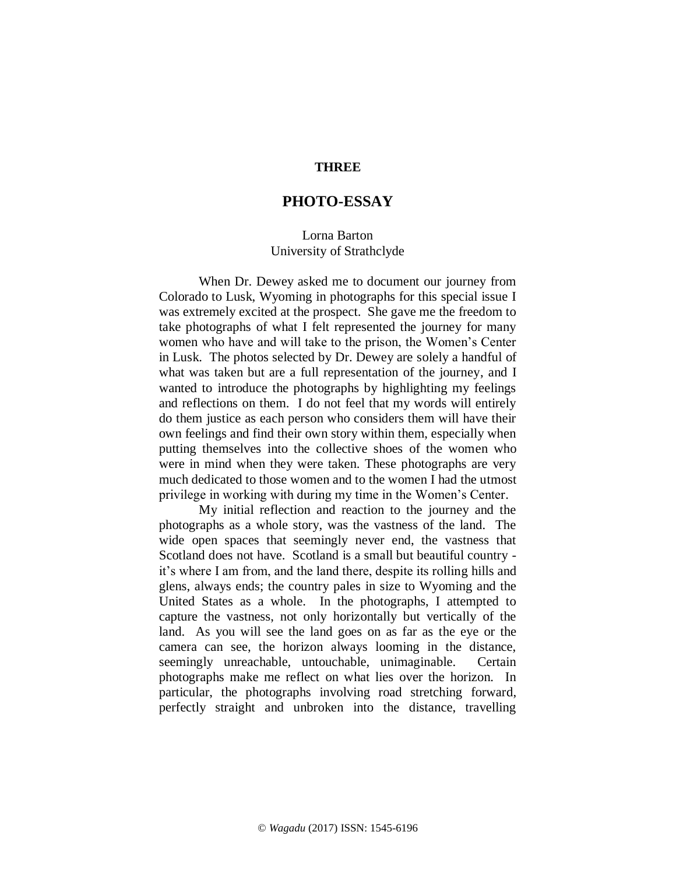## **THREE**

## **PHOTO-ESSAY**

## Lorna Barton University of Strathclyde

When Dr. Dewey asked me to document our journey from Colorado to Lusk, Wyoming in photographs for this special issue I was extremely excited at the prospect. She gave me the freedom to take photographs of what I felt represented the journey for many women who have and will take to the prison, the Women's Center in Lusk. The photos selected by Dr. Dewey are solely a handful of what was taken but are a full representation of the journey, and I wanted to introduce the photographs by highlighting my feelings and reflections on them. I do not feel that my words will entirely do them justice as each person who considers them will have their own feelings and find their own story within them, especially when putting themselves into the collective shoes of the women who were in mind when they were taken. These photographs are very much dedicated to those women and to the women I had the utmost privilege in working with during my time in the Women's Center.

My initial reflection and reaction to the journey and the photographs as a whole story, was the vastness of the land. The wide open spaces that seemingly never end, the vastness that Scotland does not have. Scotland is a small but beautiful country it's where I am from, and the land there, despite its rolling hills and glens, always ends; the country pales in size to Wyoming and the United States as a whole. In the photographs, I attempted to capture the vastness, not only horizontally but vertically of the land. As you will see the land goes on as far as the eye or the camera can see, the horizon always looming in the distance, seemingly unreachable, untouchable, unimaginable. Certain photographs make me reflect on what lies over the horizon. In particular, the photographs involving road stretching forward, perfectly straight and unbroken into the distance, travelling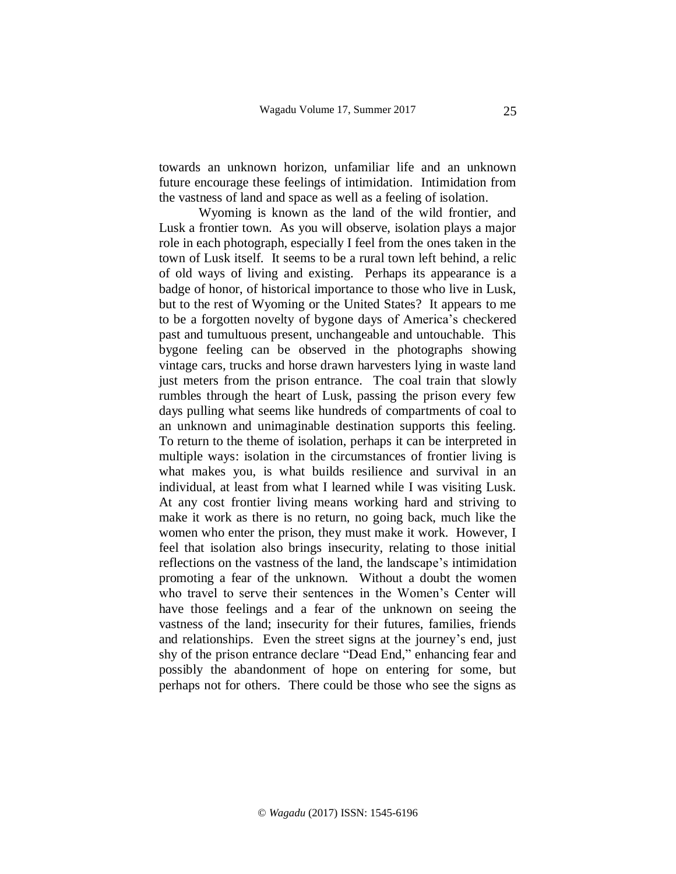towards an unknown horizon, unfamiliar life and an unknown future encourage these feelings of intimidation. Intimidation from the vastness of land and space as well as a feeling of isolation.

Wyoming is known as the land of the wild frontier, and Lusk a frontier town. As you will observe, isolation plays a major role in each photograph, especially I feel from the ones taken in the town of Lusk itself. It seems to be a rural town left behind, a relic of old ways of living and existing. Perhaps its appearance is a badge of honor, of historical importance to those who live in Lusk, but to the rest of Wyoming or the United States? It appears to me to be a forgotten novelty of bygone days of America's checkered past and tumultuous present, unchangeable and untouchable. This bygone feeling can be observed in the photographs showing vintage cars, trucks and horse drawn harvesters lying in waste land just meters from the prison entrance. The coal train that slowly rumbles through the heart of Lusk, passing the prison every few days pulling what seems like hundreds of compartments of coal to an unknown and unimaginable destination supports this feeling. To return to the theme of isolation, perhaps it can be interpreted in multiple ways: isolation in the circumstances of frontier living is what makes you, is what builds resilience and survival in an individual, at least from what I learned while I was visiting Lusk. At any cost frontier living means working hard and striving to make it work as there is no return, no going back, much like the women who enter the prison, they must make it work. However, I feel that isolation also brings insecurity, relating to those initial reflections on the vastness of the land, the landscape's intimidation promoting a fear of the unknown. Without a doubt the women who travel to serve their sentences in the Women's Center will have those feelings and a fear of the unknown on seeing the vastness of the land; insecurity for their futures, families, friends and relationships. Even the street signs at the journey's end, just shy of the prison entrance declare "Dead End," enhancing fear and possibly the abandonment of hope on entering for some, but perhaps not for others. There could be those who see the signs as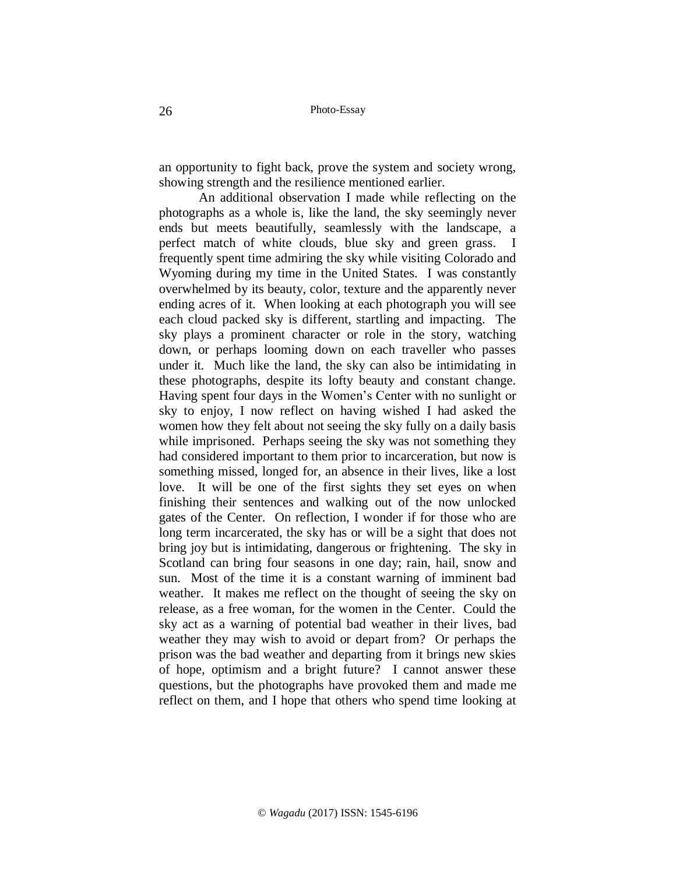an opportunity to fight back, prove the system and society wrong, showing strength and the resilience mentioned earlier.

An additional observation I made while reflecting on the photographs as a whole is, like the land, the sky seemingly never ends but meets beautifully, seamlessly with the landscape, a perfect match of white clouds, blue sky and green grass. I frequently spent time admiring the sky while visiting Colorado and Wyoming during my time in the United States. I was constantly overwhelmed by its beauty, color, texture and the apparently never ending acres of it. When looking at each photograph you will see each cloud packed sky is different, startling and impacting. The sky plays a prominent character or role in the story, watching down, or perhaps looming down on each traveller who passes under it. Much like the land, the sky can also be intimidating in these photographs, despite its lofty beauty and constant change. Having spent four days in the Women's Center with no sunlight or sky to enjoy, I now reflect on having wished I had asked the women how they felt about not seeing the sky fully on a daily basis while imprisoned. Perhaps seeing the sky was not something they had considered important to them prior to incarceration, but now is something missed, longed for, an absence in their lives, like a lost love. It will be one of the first sights they set eyes on when finishing their sentences and walking out of the now unlocked gates of the Center. On reflection, I wonder if for those who are long term incarcerated, the sky has or will be a sight that does not bring joy but is intimidating, dangerous or frightening. The sky in Scotland can bring four seasons in one day; rain, hail, snow and sun. Most of the time it is a constant warning of imminent bad weather. It makes me reflect on the thought of seeing the sky on release, as a free woman, for the women in the Center. Could the sky act as a warning of potential bad weather in their lives, bad weather they may wish to avoid or depart from? Or perhaps the prison was the bad weather and departing from it brings new skies of hope, optimism and a bright future? I cannot answer these questions, but the photographs have provoked them and made me reflect on them, and I hope that others who spend time looking at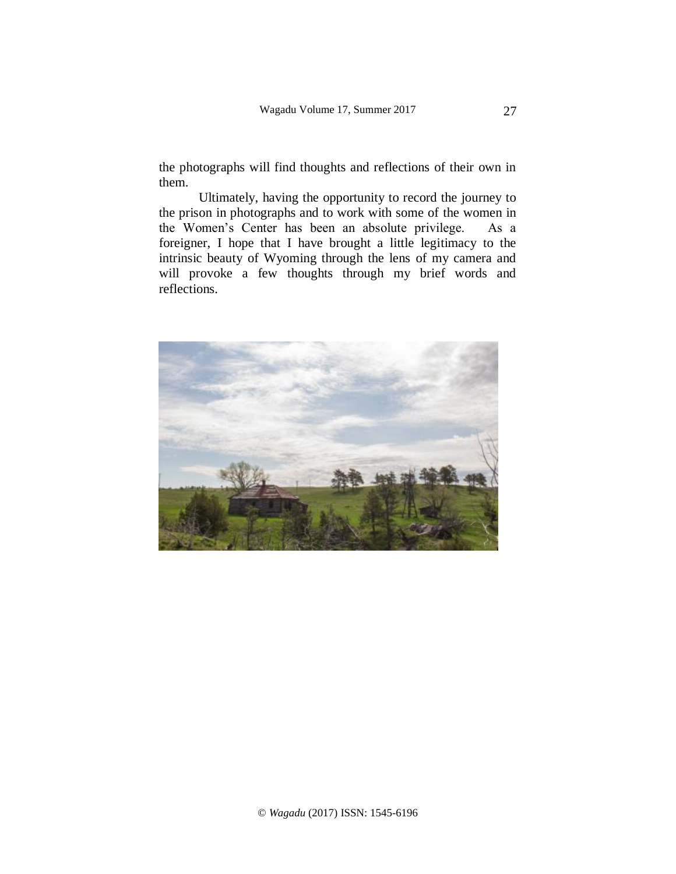the photographs will find thoughts and reflections of their own in them.

Ultimately, having the opportunity to record the journey to the prison in photographs and to work with some of the women in the Women's Center has been an absolute privilege. As a foreigner, I hope that I have brought a little legitimacy to the intrinsic beauty of Wyoming through the lens of my camera and will provoke a few thoughts through my brief words and reflections.

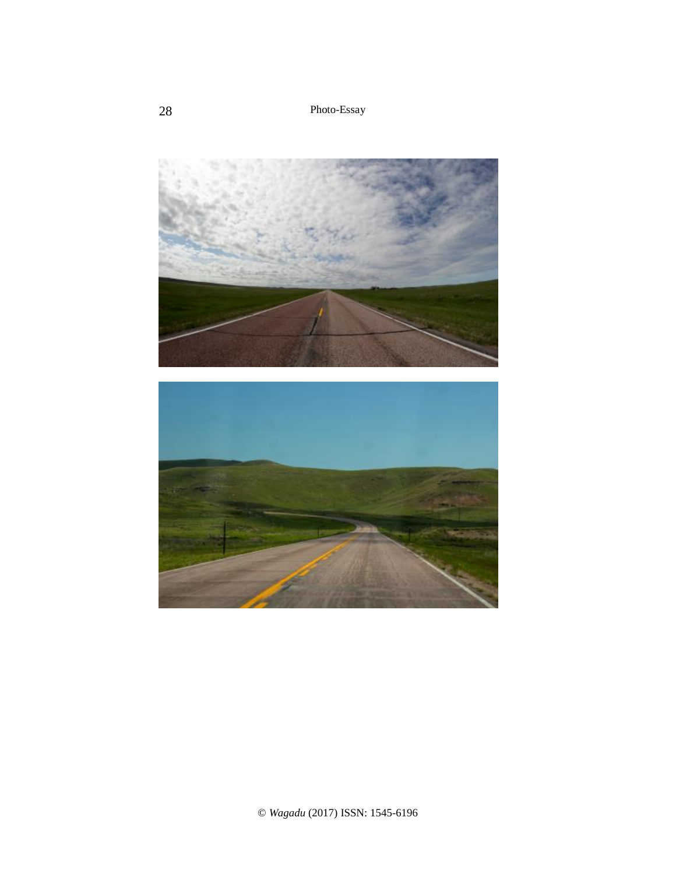Photo-Essay



28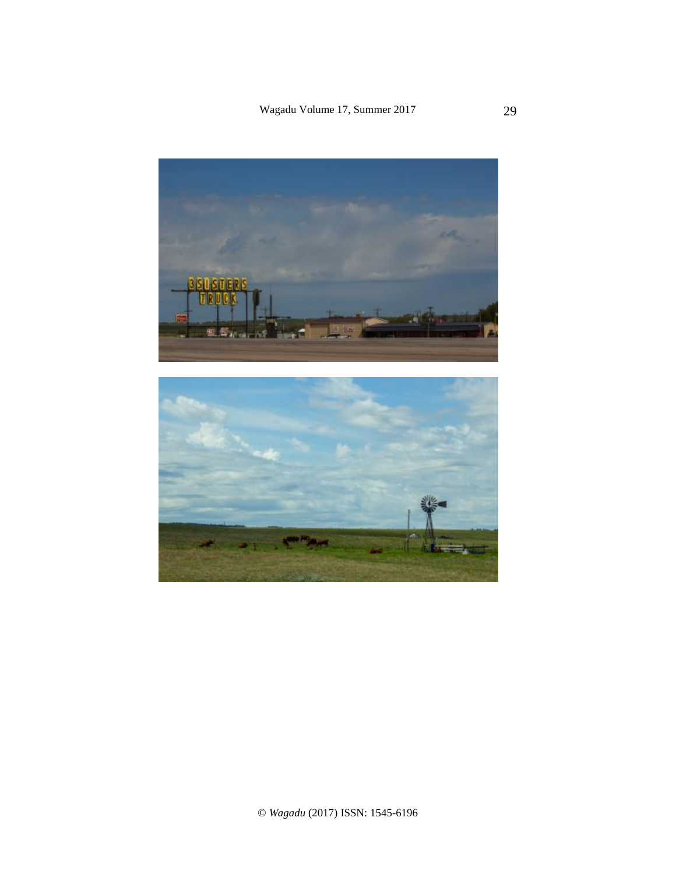

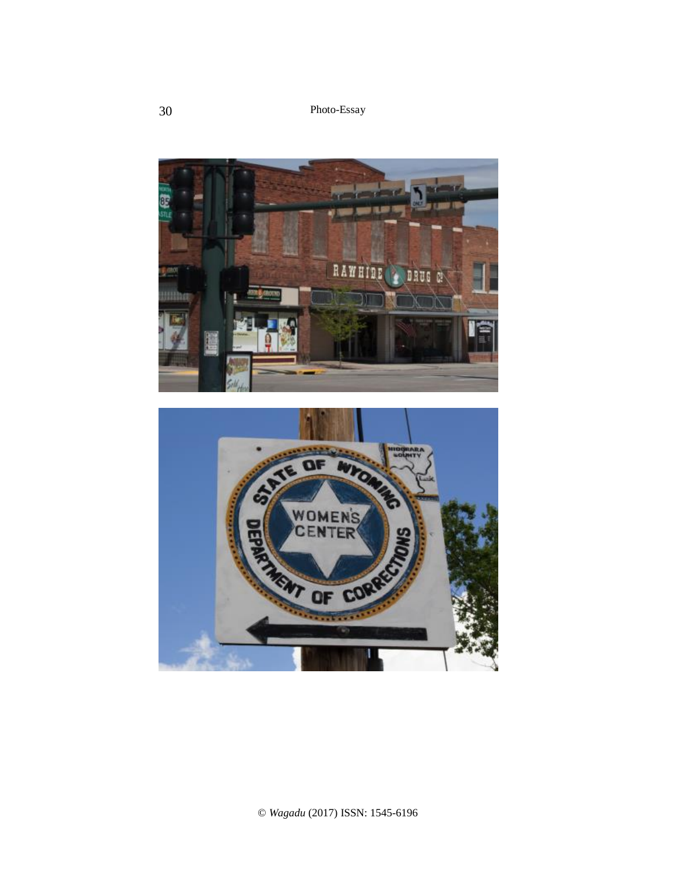Photo-Essay

![](_page_6_Picture_1.jpeg)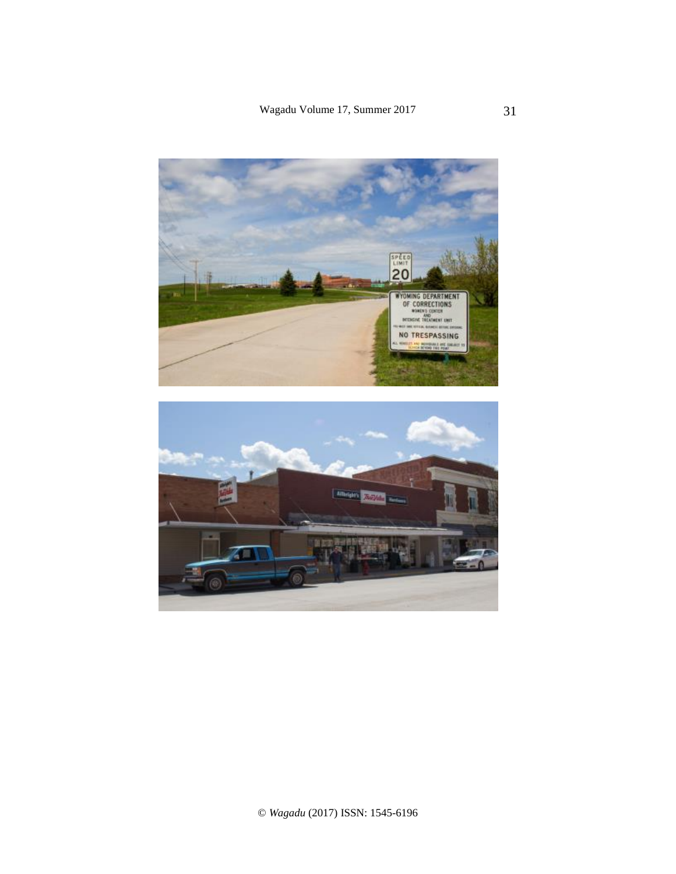![](_page_7_Picture_1.jpeg)

![](_page_7_Picture_2.jpeg)